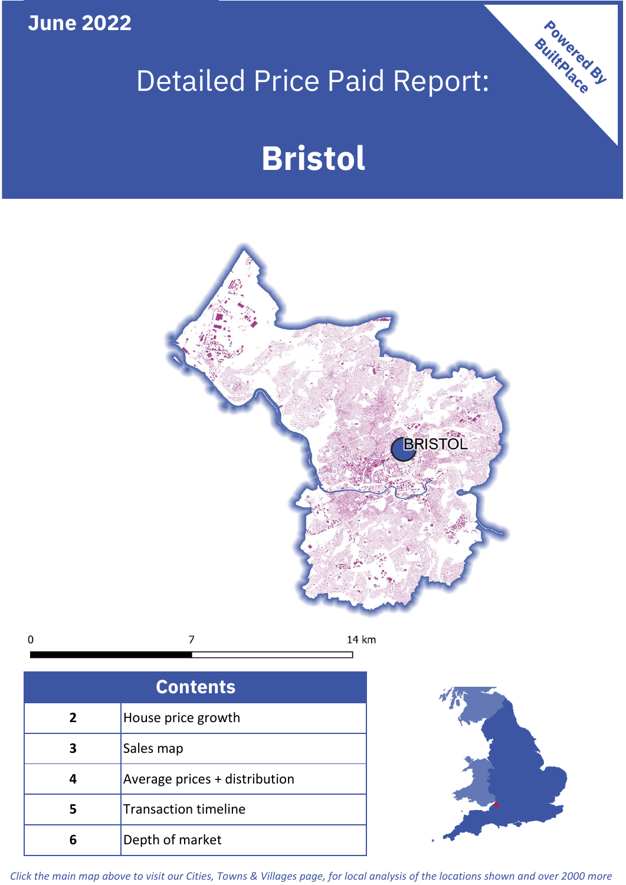**June 2022**

# Detailed Price Paid Report:

# **Bristol**



 $\mathbf 0$  $\overline{7}$ 14 km

| <b>Contents</b> |                               |  |  |
|-----------------|-------------------------------|--|--|
| $\overline{2}$  | House price growth            |  |  |
| 3               | Sales map                     |  |  |
|                 | Average prices + distribution |  |  |
|                 | <b>Transaction timeline</b>   |  |  |
|                 | Depth of market               |  |  |



Powered By

*Click the main map above to visit our Cities, Towns & Villages page, for local analysis of the locations shown and over 2000 more*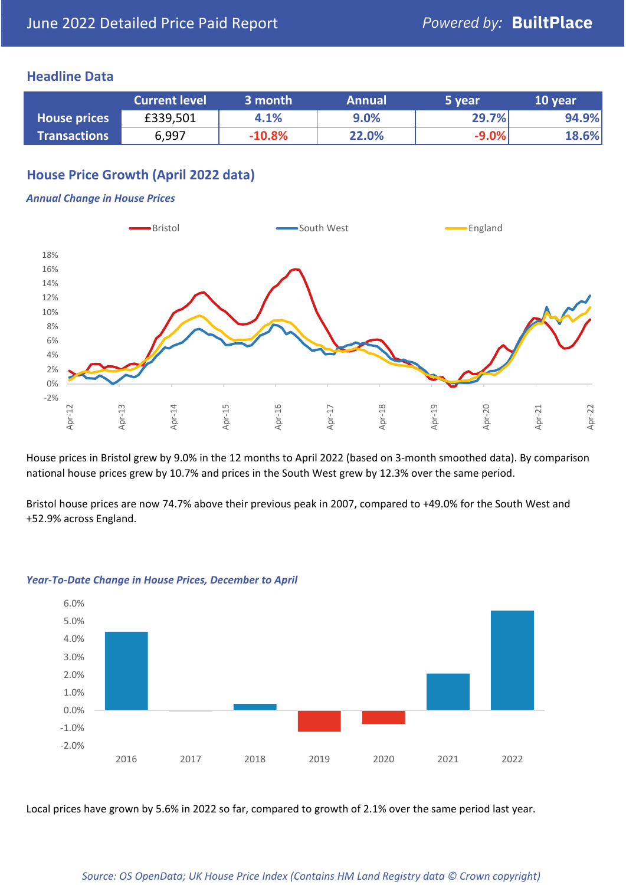#### **Headline Data**

|                     | <b>Current level</b> | 3 month  | <b>Annual</b> | 5 year  | 10 year |
|---------------------|----------------------|----------|---------------|---------|---------|
| <b>House prices</b> | £339,501             | 4.1%     | 9.0%          | 29.7%   | 94.9%   |
| <b>Transactions</b> | 6,997                | $-10.8%$ | 22.0%         | $-9.0%$ | 18.6%   |

# **House Price Growth (April 2022 data)**

#### *Annual Change in House Prices*



House prices in Bristol grew by 9.0% in the 12 months to April 2022 (based on 3-month smoothed data). By comparison national house prices grew by 10.7% and prices in the South West grew by 12.3% over the same period.

Bristol house prices are now 74.7% above their previous peak in 2007, compared to +49.0% for the South West and +52.9% across England.



#### *Year-To-Date Change in House Prices, December to April*

Local prices have grown by 5.6% in 2022 so far, compared to growth of 2.1% over the same period last year.

#### *Source: OS OpenData; UK House Price Index (Contains HM Land Registry data © Crown copyright)*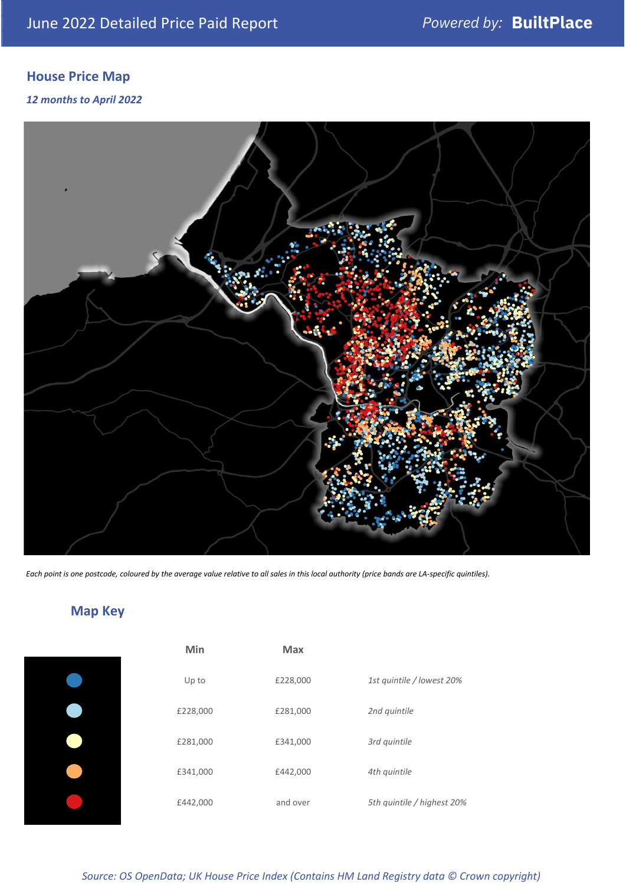# **House Price Map**

#### *12 months to April 2022*



*Each point is one postcode, coloured by the average value relative to all sales in this local authority (price bands are LA-specific quintiles).*

**Map Key**

| Min      | <b>Max</b> |                            |
|----------|------------|----------------------------|
| Up to    | £228,000   | 1st quintile / lowest 20%  |
| £228,000 | £281,000   | 2nd quintile               |
| £281,000 | £341,000   | 3rd quintile               |
| £341,000 | £442,000   | 4th quintile               |
| £442,000 | and over   | 5th quintile / highest 20% |

#### *Source: OS OpenData; UK House Price Index (Contains HM Land Registry data © Crown copyright)*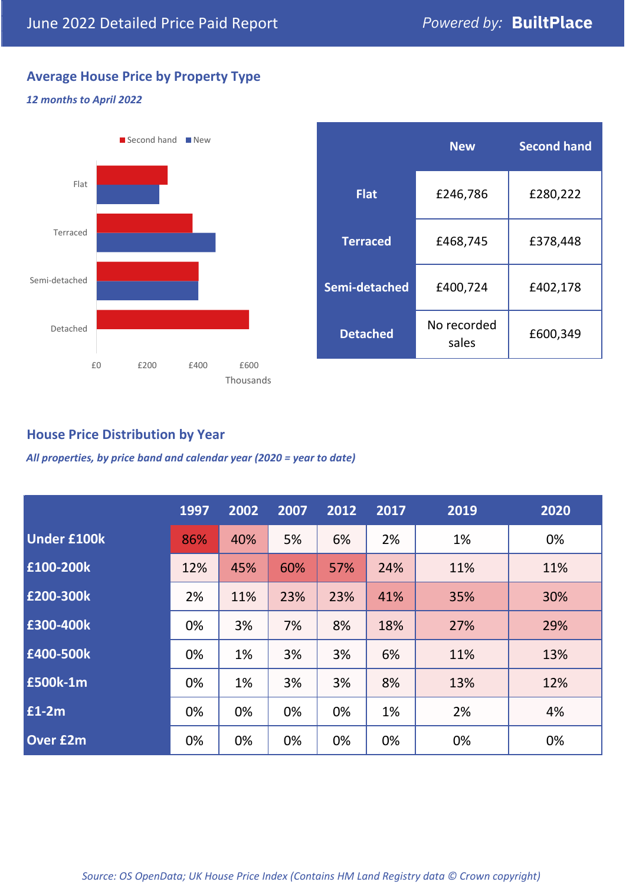# **Average House Price by Property Type**

#### *12 months to April 2022*



|                 | <b>New</b>           | <b>Second hand</b> |  |  |
|-----------------|----------------------|--------------------|--|--|
| <b>Flat</b>     | £246,786             | £280,222           |  |  |
| <b>Terraced</b> | £468,745             | £378,448           |  |  |
| Semi-detached   | £400,724             | £402,178           |  |  |
| <b>Detached</b> | No recorded<br>sales | £600,349           |  |  |

### **House Price Distribution by Year**

*All properties, by price band and calendar year (2020 = year to date)*

|                    | 1997 | 2002 | 2007 | 2012 | 2017 | 2019 | 2020 |
|--------------------|------|------|------|------|------|------|------|
| <b>Under £100k</b> | 86%  | 40%  | 5%   | 6%   | 2%   | 1%   | 0%   |
| £100-200k          | 12%  | 45%  | 60%  | 57%  | 24%  | 11%  | 11%  |
| E200-300k          | 2%   | 11%  | 23%  | 23%  | 41%  | 35%  | 30%  |
| £300-400k          | 0%   | 3%   | 7%   | 8%   | 18%  | 27%  | 29%  |
| £400-500k          | 0%   | 1%   | 3%   | 3%   | 6%   | 11%  | 13%  |
| <b>£500k-1m</b>    | 0%   | 1%   | 3%   | 3%   | 8%   | 13%  | 12%  |
| £1-2m              | 0%   | 0%   | 0%   | 0%   | 1%   | 2%   | 4%   |
| <b>Over £2m</b>    | 0%   | 0%   | 0%   | 0%   | 0%   | 0%   | 0%   |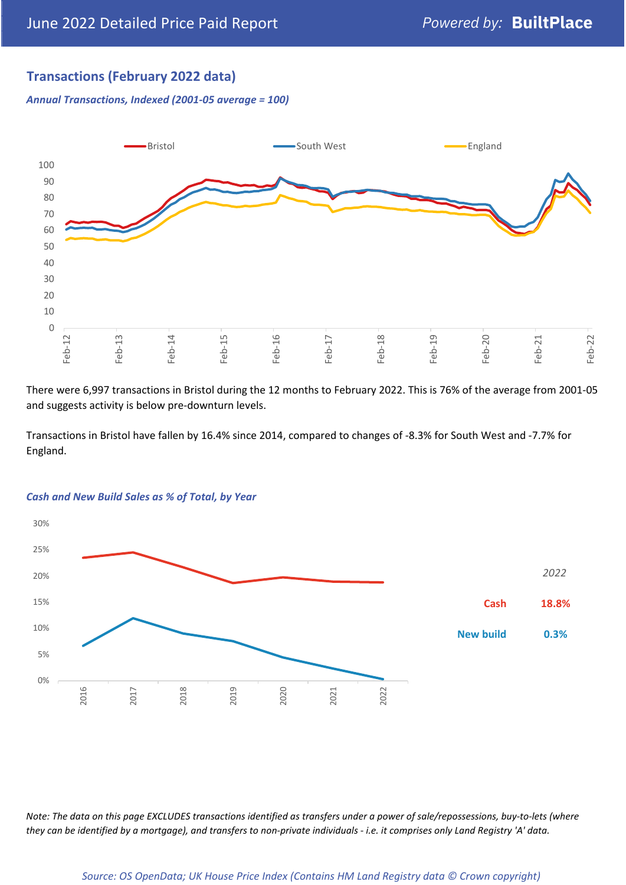# **Transactions (February 2022 data)**

*Annual Transactions, Indexed (2001-05 average = 100)*



There were 6,997 transactions in Bristol during the 12 months to February 2022. This is 76% of the average from 2001-05 and suggests activity is below pre-downturn levels.

Transactions in Bristol have fallen by 16.4% since 2014, compared to changes of -8.3% for South West and -7.7% for England.



#### *Cash and New Build Sales as % of Total, by Year*

*Note: The data on this page EXCLUDES transactions identified as transfers under a power of sale/repossessions, buy-to-lets (where they can be identified by a mortgage), and transfers to non-private individuals - i.e. it comprises only Land Registry 'A' data.*